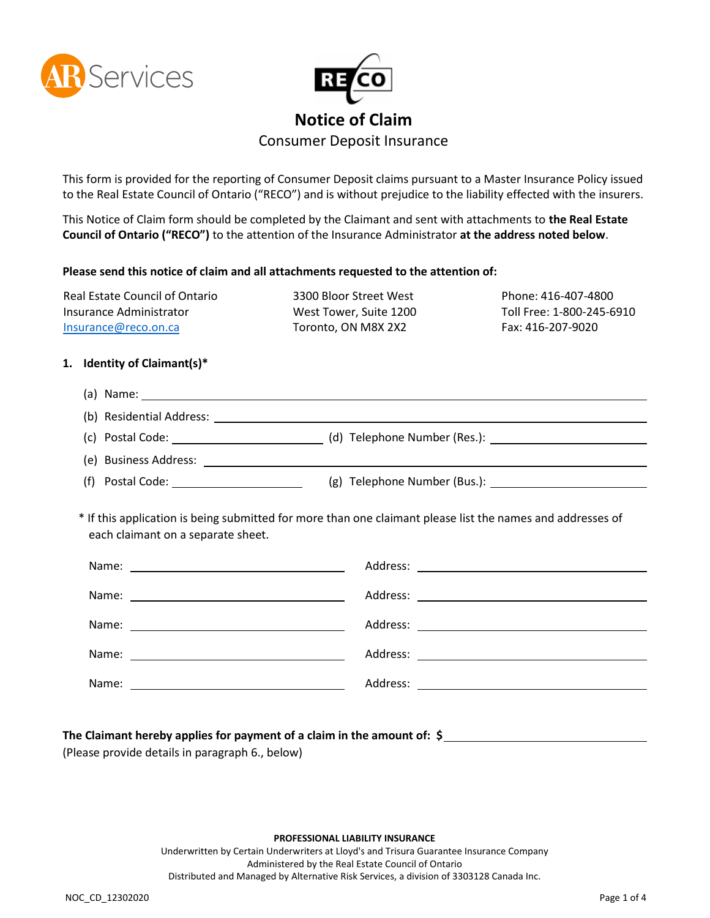



This form is provided for the reporting of Consumer Deposit claims pursuant to a Master Insurance Policy issued to the Real Estate Council of Ontario ("RECO") and is without prejudice to the liability effected with the insurers.

This Notice of Claim form should be completed by the Claimant and sent with attachments to **the Real Estate Council of Ontario ("RECO")** to the attention of the Insurance Administrator **at the address noted below**.

### **Please send this notice of claim and all attachments requested to the attention of:**

| Real Estate Council of Ontario | 3300 Bloor Street West | Phone: 416-407-4800       |
|--------------------------------|------------------------|---------------------------|
| Insurance Administrator        | West Tower, Suite 1200 | Toll Free: 1-800-245-6910 |
| Insurance@reco.on.ca           | Toronto, ON M8X 2X2    | Fax: 416-207-9020         |

# **1. Identity of Claimant(s)\***

|     | (e) Business Address: National Contract of Business Address:                                                                                                                                                                   |  |
|-----|--------------------------------------------------------------------------------------------------------------------------------------------------------------------------------------------------------------------------------|--|
| (f) | Postal Code: The Contract of the Contract of the Contract of the Contract of the Contract of the Contract of the Contract of the Contract of the Contract of the Contract of the Contract of the Contract of the Contract of t |  |

\* If this application is being submitted for more than one claimant please list the names and addresses of each claimant on a separate sheet.

# **The Claimant hereby applies for payment of a claim in the amount of: \$**

(Please provide details in paragraph 6., below)

#### **PROFESSIONAL LIABILITY INSURANCE**

Underwritten by Certain Underwriters at Lloyd's and Trisura Guarantee Insurance Company Administered by the Real Estate Council of Ontario Distributed and Managed by Alternative Risk Services, a division of 3303128 Canada Inc.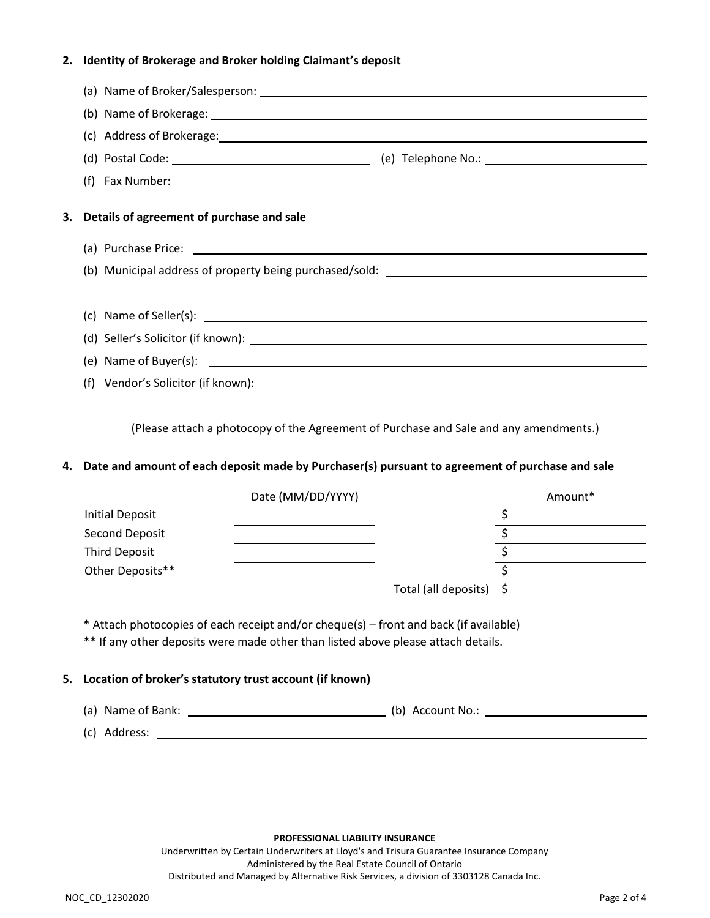## **2. Identity of Brokerage and Broker holding Claimant's deposit**

|  | (c) Address of Brokerage: Law and Contract and Contract and Contract and Contract and Contract and Contract and Contract and Contract and Contract and Contract and Contract and Contract and Contract and Contract and Contra |
|--|--------------------------------------------------------------------------------------------------------------------------------------------------------------------------------------------------------------------------------|
|  |                                                                                                                                                                                                                                |
|  |                                                                                                                                                                                                                                |
|  | 3. Details of agreement of purchase and sale                                                                                                                                                                                   |
|  |                                                                                                                                                                                                                                |
|  |                                                                                                                                                                                                                                |
|  | ,我们也不会有什么?""我们的人,我们也不会不会不会。""我们的人,我们也不会不会不会不会。""我们的人,我们也不会不会不会不会。""我们的人,我们也不会不会不                                                                                                                                               |
|  | (c) Name of Seller(s): $\sqrt{\frac{2}{1-\frac{1}{2}}$                                                                                                                                                                         |
|  |                                                                                                                                                                                                                                |
|  |                                                                                                                                                                                                                                |
|  |                                                                                                                                                                                                                                |

(Please attach a photocopy of the Agreement of Purchase and Sale and any amendments.)

# **4. Date and amount of each deposit made by Purchaser(s) pursuant to agreement of purchase and sale**

|                        | Date (MM/DD/YYYY) |                      | Amount* |
|------------------------|-------------------|----------------------|---------|
| <b>Initial Deposit</b> |                   |                      |         |
| Second Deposit         |                   |                      |         |
| <b>Third Deposit</b>   |                   |                      |         |
| Other Deposits**       |                   |                      |         |
|                        |                   | Total (all deposits) | - \$    |

\* Attach photocopies of each receipt and/or cheque(s) – front and back (if available)

\*\* If any other deposits were made other than listed above please attach details.

#### **5. Location of broker's statutory trust account (if known)**

(a) Name of Bank: (b) Account No.:

(c) Address:

#### **PROFESSIONAL LIABILITY INSURANCE**

Underwritten by Certain Underwriters at Lloyd's and Trisura Guarantee Insurance Company Administered by the Real Estate Council of Ontario Distributed and Managed by Alternative Risk Services, a division of 3303128 Canada Inc.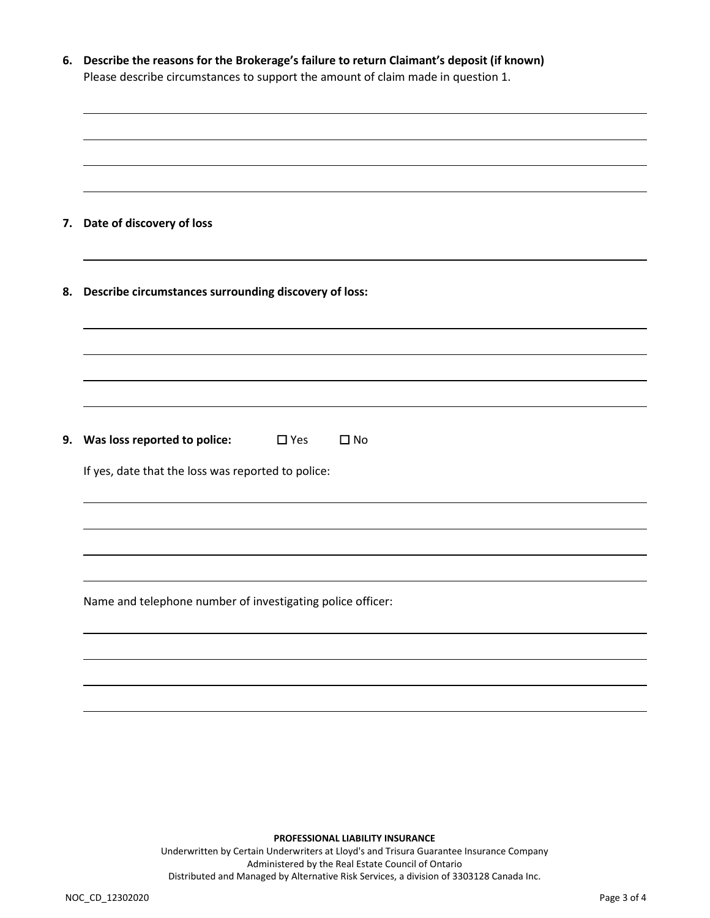| 6. Describe the reasons for the Brokerage's failure to return Claimant's deposit (if known)<br>Please describe circumstances to support the amount of claim made in question 1. |  |  |
|---------------------------------------------------------------------------------------------------------------------------------------------------------------------------------|--|--|
|                                                                                                                                                                                 |  |  |
| 7. Date of discovery of loss                                                                                                                                                    |  |  |
| 8. Describe circumstances surrounding discovery of loss:                                                                                                                        |  |  |
|                                                                                                                                                                                 |  |  |
| 9. Was loss reported to police:<br>$\Box$ Yes<br>$\square$ No<br>If yes, date that the loss was reported to police:                                                             |  |  |
|                                                                                                                                                                                 |  |  |
| Name and telephone number of investigating police officer:                                                                                                                      |  |  |
|                                                                                                                                                                                 |  |  |
|                                                                                                                                                                                 |  |  |

**PROFESSIONAL LIABILITY INSURANCE**

Underwritten by Certain Underwriters at Lloyd's and Trisura Guarantee Insurance Company Administered by the Real Estate Council of Ontario Distributed and Managed by Alternative Risk Services, a division of 3303128 Canada Inc.